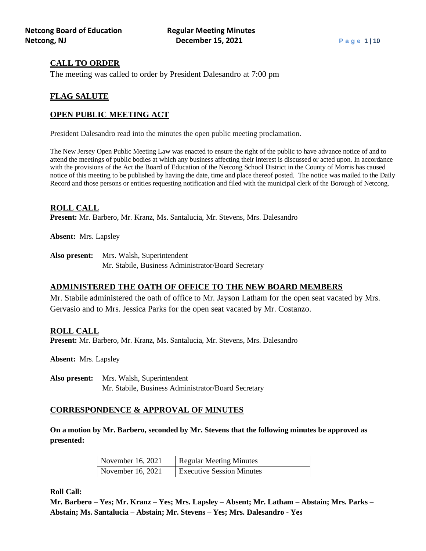# **CALL TO ORDER**

The meeting was called to order by President Dalesandro at 7:00 pm

# **FLAG SALUTE**

# **OPEN PUBLIC MEETING ACT**

President Dalesandro read into the minutes the open public meeting proclamation.

The New Jersey Open Public Meeting Law was enacted to ensure the right of the public to have advance notice of and to attend the meetings of public bodies at which any business affecting their interest is discussed or acted upon. In accordance with the provisions of the Act the Board of Education of the Netcong School District in the County of Morris has caused notice of this meeting to be published by having the date, time and place thereof posted. The notice was mailed to the Daily Record and those persons or entities requesting notification and filed with the municipal clerk of the Borough of Netcong.

# **ROLL CALL**

**Present:** Mr. Barbero, Mr. Kranz, Ms. Santalucia, Mr. Stevens, Mrs. Dalesandro

**Absent:** Mrs. Lapsley

**Also present:** Mrs. Walsh, Superintendent

Mr. Stabile, Business Administrator/Board Secretary

# **ADMINISTERED THE OATH OF OFFICE TO THE NEW BOARD MEMBERS**

Mr. Stabile administered the oath of office to Mr. Jayson Latham for the open seat vacated by Mrs. Gervasio and to Mrs. Jessica Parks for the open seat vacated by Mr. Costanzo.

## **ROLL CALL**

**Present:** Mr. Barbero, Mr. Kranz, Ms. Santalucia, Mr. Stevens, Mrs. Dalesandro

**Absent:** Mrs. Lapsley

**Also present:** Mrs. Walsh, Superintendent Mr. Stabile, Business Administrator/Board Secretary

# **CORRESPONDENCE & APPROVAL OF MINUTES**

**On a motion by Mr. Barbero, seconded by Mr. Stevens that the following minutes be approved as presented:**

| November 16, 2021 | <b>Regular Meeting Minutes</b>   |  |  |  |
|-------------------|----------------------------------|--|--|--|
| November 16, 2021 | <b>Executive Session Minutes</b> |  |  |  |

**Roll Call:**

**Mr. Barbero – Yes; Mr. Kranz – Yes; Mrs. Lapsley – Absent; Mr. Latham – Abstain; Mrs. Parks – Abstain; Ms. Santalucia – Abstain; Mr. Stevens – Yes; Mrs. Dalesandro - Yes**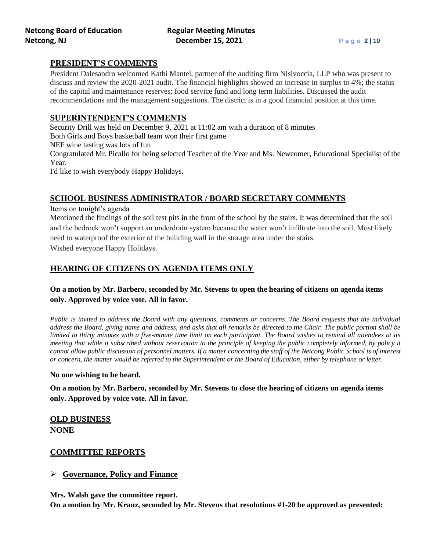# **PRESIDENT'S COMMENTS**

President Dalesandro welcomed Kathi Mantel, partner of the auditing firm Nisivoccia, LLP who was present to discuss and review the 2020-2021 audit. The financial highlights showed an increase in surplus to 4%; the status of the capital and maintenance reserves; food service fund and long term liabilities. Discussed the audit recommendations and the management suggestions. The district is in a good financial position at this time.

# **SUPERINTENDENT'S COMMENTS**

Security Drill was held on December 9, 2021 at 11:02 am with a duration of 8 minutes

Both Girls and Boys basketball team won their first game

NEF wine tasting was lots of fun

Congratulated Mr. Picallo for being selected Teacher of the Year and Ms. Newcomer, Educational Specialist of the Year.

I'd like to wish everybody Happy Holidays.

# **SCHOOL BUSINESS ADMINISTRATOR / BOARD SECRETARY COMMENTS**

Items on tonight's agenda

Mentioned the findings of the soil test pits in the front of the school by the stairs. It was determined that the soil and the bedrock won't support an underdrain system because the water won't infiltrate into the soil. Most likely need to waterproof the exterior of the building wall in the storage area under the stairs. Wished everyone Happy Holidays.

# **HEARING OF CITIZENS ON AGENDA ITEMS ONLY**

# **On a motion by Mr. Barbero, seconded by Mr. Stevens to open the hearing of citizens on agenda items only. Approved by voice vote. All in favor.**

*Public is invited to address the Board with any questions, comments or concerns. The Board requests that the individual address the Board, giving name and address, and asks that all remarks be directed to the Chair. The public portion shall be limited to thirty minutes with a five-minute time limit on each participant. The Board wishes to remind all attendees at its meeting that while it subscribed without reservation to the principle of keeping the public completely informed, by policy it cannot allow public discussion of personnel matters. If a matter concerning the staff of the Netcong Public School is of interest or concern, the matter would be referred to the Superintendent or the Board of Education, either by telephone or letter.*

## **No one wishing to be heard.**

**On a motion by Mr. Barbero, seconded by Mr. Stevens to close the hearing of citizens on agenda items only. Approved by voice vote. All in favor.**

# **OLD BUSINESS NONE**

# **COMMITTEE REPORTS**

# ➢ **Governance, Policy and Finance**

**Mrs. Walsh gave the committee report.**

**On a motion by Mr. Kranz, seconded by Mr. Stevens that resolutions #1-20 be approved as presented:**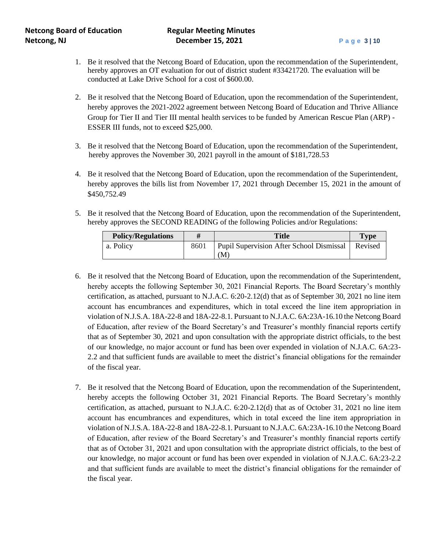- 1. Be it resolved that the Netcong Board of Education, upon the recommendation of the Superintendent, hereby approves an OT evaluation for out of district student #33421720. The evaluation will be conducted at Lake Drive School for a cost of \$600.00.
- 2. Be it resolved that the Netcong Board of Education, upon the recommendation of the Superintendent, hereby approves the 2021-2022 agreement between Netcong Board of Education and Thrive Alliance Group for Tier II and Tier III mental health services to be funded by American Rescue Plan (ARP) - ESSER III funds, not to exceed \$25,000.
- 3. Be it resolved that the Netcong Board of Education, upon the recommendation of the Superintendent, hereby approves the November 30, 2021 payroll in the amount of \$181,728.53
- 4. Be it resolved that the Netcong Board of Education, upon the recommendation of the Superintendent, hereby approves the bills list from November 17, 2021 through December 15, 2021 in the amount of \$450,752.49
- 5. Be it resolved that the Netcong Board of Education, upon the recommendation of the Superintendent, hereby approves the SECOND READING of the following Policies and/or Regulations:

| <b>Policy/Regulations</b> | <b>Title</b>                             | <b>Type</b> |
|---------------------------|------------------------------------------|-------------|
| a. Policy                 | Pupil Supervision After School Dismissal | Revised     |
|                           | M.                                       |             |

- 6. Be it resolved that the Netcong Board of Education, upon the recommendation of the Superintendent, hereby accepts the following September 30, 2021 Financial Reports. The Board Secretary's monthly certification, as attached, pursuant to N.J.A.C. 6:20-2.12(d) that as of September 30, 2021 no line item account has encumbrances and expenditures, which in total exceed the line item appropriation in violation of N.J.S.A. 18A-22-8 and 18A-22-8.1. Pursuant to N.J.A.C. 6A:23A-16.10 the Netcong Board of Education, after review of the Board Secretary's and Treasurer's monthly financial reports certify that as of September 30, 2021 and upon consultation with the appropriate district officials, to the best of our knowledge, no major account or fund has been over expended in violation of N.J.A.C. 6A:23- 2.2 and that sufficient funds are available to meet the district's financial obligations for the remainder of the fiscal year.
- 7. Be it resolved that the Netcong Board of Education, upon the recommendation of the Superintendent, hereby accepts the following October 31, 2021 Financial Reports. The Board Secretary's monthly certification, as attached, pursuant to N.J.A.C. 6:20-2.12(d) that as of October 31, 2021 no line item account has encumbrances and expenditures, which in total exceed the line item appropriation in violation of N.J.S.A. 18A-22-8 and 18A-22-8.1. Pursuant to N.J.A.C. 6A:23A-16.10 the Netcong Board of Education, after review of the Board Secretary's and Treasurer's monthly financial reports certify that as of October 31, 2021 and upon consultation with the appropriate district officials, to the best of our knowledge, no major account or fund has been over expended in violation of N.J.A.C. 6A:23-2.2 and that sufficient funds are available to meet the district's financial obligations for the remainder of the fiscal year.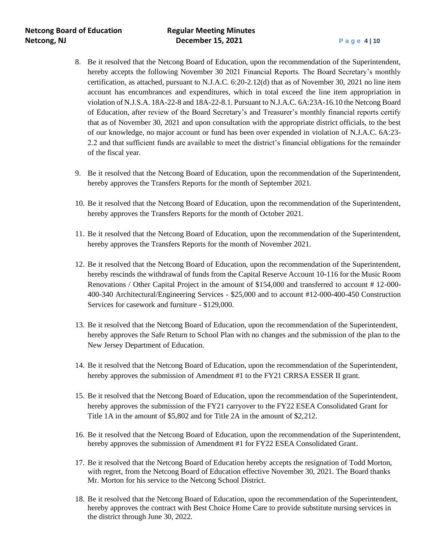- 8. Be it resolved that the Netcong Board of Education, upon the recommendation of the Superintendent, hereby accepts the following November 30 2021 Financial Reports. The Board Secretary's monthly certification, as attached, pursuant to N.J.A.C. 6:20-2.12(d) that as of November 30, 2021 no line item account has encumbrances and expenditures, which in total exceed the line item appropriation in violation of N.J.S.A. 18A-22-8 and 18A-22-8.1. Pursuant to N.J.A.C. 6A:23A-16.10 the Netcong Board of Education, after review of the Board Secretary's and Treasurer's monthly financial reports certify that as of November 30, 2021 and upon consultation with the appropriate district officials, to the best of our knowledge, no major account or fund has been over expended in violation of N.J.A.C. 6A:23- 2.2 and that sufficient funds are available to meet the district's financial obligations for the remainder of the fiscal year.
- 9. Be it resolved that the Netcong Board of Education, upon the recommendation of the Superintendent, hereby approves the Transfers Reports for the month of September 2021.
- 10. Be it resolved that the Netcong Board of Education, upon the recommendation of the Superintendent, hereby approves the Transfers Reports for the month of October 2021.
- 11. Be it resolved that the Netcong Board of Education, upon the recommendation of the Superintendent, hereby approves the Transfers Reports for the month of November 2021.
- 12. Be it resolved that the Netcong Board of Education, upon the recommendation of the Superintendent, hereby rescinds the withdrawal of funds from the Capital Reserve Account 10-116 for the Music Room Renovations / Other Capital Project in the amount of \$154,000 and transferred to account # 12-000- 400-340 Architectural/Engineering Services - \$25,000 and to account #12-000-400-450 Construction Services for casework and furniture - \$129,000.
- 13. Be it resolved that the Netcong Board of Education, upon the recommendation of the Superintendent, hereby approves the Safe Return to School Plan with no changes and the submission of the plan to the New Jersey Department of Education.
- 14. Be it resolved that the Netcong Board of Education, upon the recommendation of the Superintendent, hereby approves the submission of Amendment #1 to the FY21 CRRSA ESSER II grant.
- 15. Be it resolved that the Netcong Board of Education, upon the recommendation of the Superintendent, hereby approves the submission of the FY21 carryover to the FY22 ESEA Consolidated Grant for Title 1A in the amount of \$5,802 and for Title 2A in the amount of \$2,212.
- 16. Be it resolved that the Netcong Board of Education, upon the recommendation of the Superintendent, hereby approves the submission of Amendment #1 for FY22 ESEA Consolidated Grant.
- 17. Be it resolved that the Netcong Board of Education hereby accepts the resignation of Todd Morton, with regret, from the Netcong Board of Education effective November 30, 2021. The Board thanks Mr. Morton for his service to the Netcong School District.
- 18. Be it resolved that the Netcong Board of Education, upon the recommendation of the Superintendent, hereby approves the contract with Best Choice Home Care to provide substitute nursing services in the district through June 30, 2022.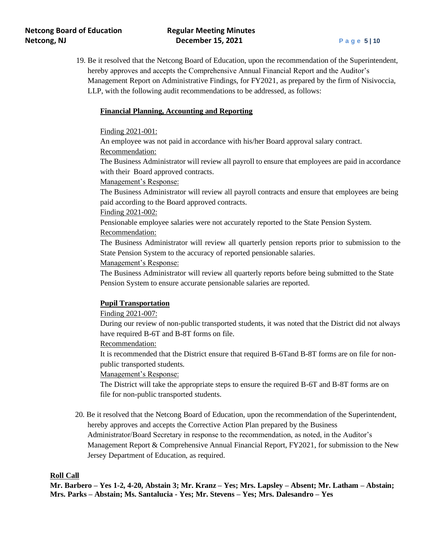19. Be it resolved that the Netcong Board of Education, upon the recommendation of the Superintendent, hereby approves and accepts the Comprehensive Annual Financial Report and the Auditor's Management Report on Administrative Findings, for FY2021, as prepared by the firm of Nisivoccia, LLP, with the following audit recommendations to be addressed, as follows:

## **Financial Planning, Accounting and Reporting**

#### Finding 2021-001:

An employee was not paid in accordance with his/her Board approval salary contract. Recommendation:

The Business Administrator will review all payroll to ensure that employees are paid in accordance with their Board approved contracts.

#### Management's Response:

The Business Administrator will review all payroll contracts and ensure that employees are being paid according to the Board approved contracts.

### Finding 2021-002:

Pensionable employee salaries were not accurately reported to the State Pension System.

## Recommendation:

The Business Administrator will review all quarterly pension reports prior to submission to the State Pension System to the accuracy of reported pensionable salaries.

#### Management's Response:

The Business Administrator will review all quarterly reports before being submitted to the State Pension System to ensure accurate pensionable salaries are reported.

#### **Pupil Transportation**

#### Finding 2021-007:

During our review of non-public transported students, it was noted that the District did not always have required B-6T and B-8T forms on file.

### Recommendation:

It is recommended that the District ensure that required B-6Tand B-8T forms are on file for nonpublic transported students.

Management's Response:

The District will take the appropriate steps to ensure the required B-6T and B-8T forms are on file for non-public transported students.

 20. Be it resolved that the Netcong Board of Education, upon the recommendation of the Superintendent, hereby approves and accepts the Corrective Action Plan prepared by the Business Administrator/Board Secretary in response to the recommendation, as noted, in the Auditor's Management Report & Comprehensive Annual Financial Report, FY2021, for submission to the New Jersey Department of Education, as required.

### **Roll Call**

**Mr. Barbero – Yes 1-2, 4-20, Abstain 3; Mr. Kranz – Yes; Mrs. Lapsley – Absent; Mr. Latham – Abstain; Mrs. Parks – Abstain; Ms. Santalucia - Yes; Mr. Stevens – Yes; Mrs. Dalesandro – Yes**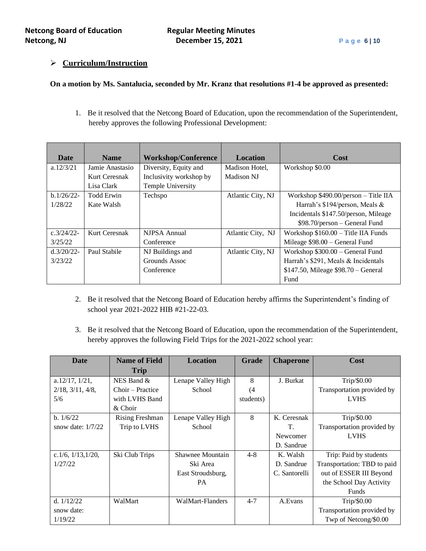# ➢ **Curriculum/Instruction**

## **On a motion by Ms. Santalucia, seconded by Mr. Kranz that resolutions #1-4 be approved as presented:**

1. Be it resolved that the Netcong Board of Education, upon the recommendation of the Superintendent, hereby approves the following Professional Development:

| <b>Date</b>   | <b>Name</b>     | <b>Workshop/Conference</b> | <b>Location</b>   | Cost                                   |
|---------------|-----------------|----------------------------|-------------------|----------------------------------------|
| a.12/3/21     | Jamie Anastasio | Diversity, Equity and      | Madison Hotel,    | Workshop \$0.00                        |
|               | Kurt Ceresnak   | Inclusivity workshop by    | Madison NJ        |                                        |
|               | Lisa Clark      | Temple University          |                   |                                        |
| $b.1/26/22$ - | Todd Erwin      | Techspo                    | Atlantic City, NJ | Workshop \$490.00/person - Title IIA   |
| 1/28/22       | Kate Walsh      |                            |                   | Harrah's \$194/person, Meals &         |
|               |                 |                            |                   | Incidentals \$147.50/person, Mileage   |
|               |                 |                            |                   | \$98.70/person – General Fund          |
| $c.3/24/22$ - | Kurt Ceresnak   | NJPSA Annual               | Atlantic City, NJ | Workshop $$160.00 - Title$ IIA Funds   |
| 3/25/22       |                 | Conference                 |                   | Mileage $$98.00 - General Fund$        |
| $d.3/20/22$ - | Paul Stabile    | NJ Buildings and           | Atlantic City, NJ | Workshop $$300.00 - General Fund$      |
| 3/23/22       |                 | Grounds Assoc              |                   | Harrah's \$291, Meals & Incidentals    |
|               |                 | Conference                 |                   | $$147.50$ , Mileage $$98.70 - General$ |
|               |                 |                            |                   | Fund                                   |

- 2. Be it resolved that the Netcong Board of Education hereby affirms the Superintendent's finding of school year 2021-2022 HIB #21-22-03.
- 3. Be it resolved that the Netcong Board of Education, upon the recommendation of the Superintendent, hereby approves the following Field Trips for the 2021-2022 school year:

| Date                         | <b>Name of Field</b>   | <b>Location</b>    | <b>Grade</b> | <b>Chaperone</b> | <b>Cost</b>                 |
|------------------------------|------------------------|--------------------|--------------|------------------|-----------------------------|
|                              | <b>Trip</b>            |                    |              |                  |                             |
| a.12/17, 1/21,               | NES Band &             | Lenape Valley High | 8            | J. Burkat        | Trip/\$0.00                 |
| $2/18$ , $3/11$ , $4/8$ ,    | Choir – Practice       | School             | (4           |                  | Transportation provided by  |
| 5/6                          | with LVHS Band         |                    | students)    |                  | <b>LVHS</b>                 |
|                              | & Choir                |                    |              |                  |                             |
| b. $1/6/22$                  | <b>Rising Freshman</b> | Lenape Valley High | 8            | K. Ceresnak      | Trip/\$0.00                 |
| snow date: $1/7/22$          | Trip to LVHS           | School             |              | T.               | Transportation provided by  |
|                              |                        |                    |              | Newcomer         | <b>LVHS</b>                 |
|                              |                        |                    |              | D. Sandrue       |                             |
| c. $1/6$ , $1/13$ , $1/20$ , | Ski Club Trips         | Shawnee Mountain   | $4 - 8$      | K. Walsh         | Trip: Paid by students      |
| 1/27/22                      |                        | Ski Area           |              | D. Sandrue       | Transportation: TBD to paid |
|                              |                        | East Stroudsburg,  |              | C. Santorelli    | out of ESSER III Beyond     |
|                              |                        | <b>PA</b>          |              |                  | the School Day Activity     |
|                              |                        |                    |              |                  | <b>Funds</b>                |
| d. $1/12/22$                 | WalMart                | WalMart-Flanders   | $4 - 7$      | A.Evans          | Trip/\$0.00                 |
| snow date:                   |                        |                    |              |                  | Transportation provided by  |
| 1/19/22                      |                        |                    |              |                  | Twp of Netcong/\$0.00       |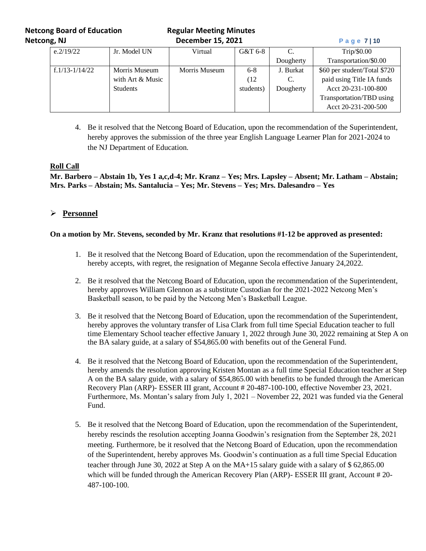**Netcong Board of Education Regular Meeting Minutes Netcong, NJ December 15, 2021 Page 7** | 10

| e.2/19/22        | Jr. Model UN     | Virtual       | G&T 6-8   |           | Tip/\$0.00                   |
|------------------|------------------|---------------|-----------|-----------|------------------------------|
|                  |                  |               |           | Dougherty | Transportation/\$0.00        |
| $f.1/13-1/14/22$ | Morris Museum    | Morris Museum | $6-8$     | J. Burkat | \$60 per student/Total \$720 |
|                  | with Art & Music |               | (12       | C.        | paid using Title IA funds    |
|                  | <b>Students</b>  |               | students) | Dougherty | Acct 20-231-100-800          |
|                  |                  |               |           |           | Transportation/TBD using     |
|                  |                  |               |           |           | Acct 20-231-200-500          |

4. Be it resolved that the Netcong Board of Education, upon the recommendation of the Superintendent, hereby approves the submission of the three year English Language Learner Plan for 2021-2024 to the NJ Department of Education.

## **Roll Call**

**Mr. Barbero – Abstain 1b, Yes 1 a,c,d-4; Mr. Kranz – Yes; Mrs. Lapsley – Absent; Mr. Latham – Abstain; Mrs. Parks – Abstain; Ms. Santalucia – Yes; Mr. Stevens – Yes; Mrs. Dalesandro – Yes**

# ➢ **Personnel**

### **On a motion by Mr. Stevens, seconded by Mr. Kranz that resolutions #1-12 be approved as presented:**

- 1. Be it resolved that the Netcong Board of Education, upon the recommendation of the Superintendent, hereby accepts, with regret, the resignation of Meganne Secola effective January 24,2022.
- 2. Be it resolved that the Netcong Board of Education, upon the recommendation of the Superintendent, hereby approves William Glennon as a substitute Custodian for the 2021-2022 Netcong Men's Basketball season, to be paid by the Netcong Men's Basketball League.
- 3. Be it resolved that the Netcong Board of Education, upon the recommendation of the Superintendent, hereby approves the voluntary transfer of Lisa Clark from full time Special Education teacher to full time Elementary School teacher effective January 1, 2022 through June 30, 2022 remaining at Step A on the BA salary guide, at a salary of \$54,865.00 with benefits out of the General Fund.
- 4. Be it resolved that the Netcong Board of Education, upon the recommendation of the Superintendent, hereby amends the resolution approving Kristen Montan as a full time Special Education teacher at Step A on the BA salary guide, with a salary of \$54,865.00 with benefits to be funded through the American Recovery Plan (ARP)- ESSER III grant, Account # 20-487-100-100, effective November 23, 2021. Furthermore, Ms. Montan's salary from July 1, 2021 – November 22, 2021 was funded via the General Fund.
- 5. Be it resolved that the Netcong Board of Education, upon the recommendation of the Superintendent, hereby rescinds the resolution accepting Joanna Goodwin's resignation from the September 28, 2021 meeting. Furthermore, be it resolved that the Netcong Board of Education, upon the recommendation of the Superintendent, hereby approves Ms. Goodwin's continuation as a full time Special Education teacher through June 30, 2022 at Step A on the MA+15 salary guide with a salary of \$ 62,865.00 which will be funded through the American Recovery Plan (ARP)- ESSER III grant, Account # 20-487-100-100.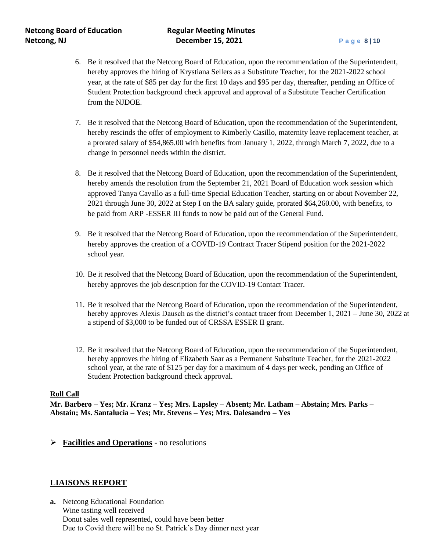- 6. Be it resolved that the Netcong Board of Education, upon the recommendation of the Superintendent, hereby approves the hiring of Krystiana Sellers as a Substitute Teacher, for the 2021-2022 school year, at the rate of \$85 per day for the first 10 days and \$95 per day, thereafter, pending an Office of Student Protection background check approval and approval of a Substitute Teacher Certification from the NJDOE.
- 7. Be it resolved that the Netcong Board of Education, upon the recommendation of the Superintendent, hereby rescinds the offer of employment to Kimberly Casillo, maternity leave replacement teacher, at a prorated salary of \$54,865.00 with benefits from January 1, 2022, through March 7, 2022, due to a change in personnel needs within the district.
- 8. Be it resolved that the Netcong Board of Education, upon the recommendation of the Superintendent, hereby amends the resolution from the September 21, 2021 Board of Education work session which approved Tanya Cavallo as a full-time Special Education Teacher, starting on or about November 22, 2021 through June 30, 2022 at Step I on the BA salary guide, prorated \$64,260.00, with benefits, to be paid from ARP -ESSER III funds to now be paid out of the General Fund.
- 9. Be it resolved that the Netcong Board of Education, upon the recommendation of the Superintendent, hereby approves the creation of a COVID-19 Contract Tracer Stipend position for the 2021-2022 school year.
- 10. Be it resolved that the Netcong Board of Education, upon the recommendation of the Superintendent, hereby approves the job description for the COVID-19 Contact Tracer.
- 11. Be it resolved that the Netcong Board of Education, upon the recommendation of the Superintendent, hereby approves Alexis Dausch as the district's contact tracer from December 1, 2021 – June 30, 2022 at a stipend of \$3,000 to be funded out of CRSSA ESSER II grant.
- 12. Be it resolved that the Netcong Board of Education, upon the recommendation of the Superintendent, hereby approves the hiring of Elizabeth Saar as a Permanent Substitute Teacher, for the 2021-2022 school year, at the rate of \$125 per day for a maximum of 4 days per week, pending an Office of Student Protection background check approval.

### **Roll Call**

**Mr. Barbero – Yes; Mr. Kranz – Yes; Mrs. Lapsley – Absent; Mr. Latham – Abstain; Mrs. Parks – Abstain; Ms. Santalucia – Yes; Mr. Stevens – Yes; Mrs. Dalesandro – Yes**

➢ **Facilities and Operations** - no resolutions

# **LIAISONS REPORT**

**a.** Netcong Educational Foundation Wine tasting well received Donut sales well represented, could have been better Due to Covid there will be no St. Patrick's Day dinner next year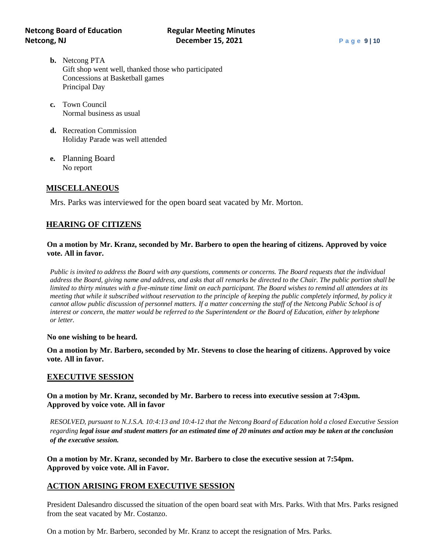- **b.** Netcong PTA Gift shop went well, thanked those who participated Concessions at Basketball games Principal Day
- **c.** Town Council Normal business as usual
- **d.** Recreation Commission Holiday Parade was well attended
- **e.** Planning Board No report

# **MISCELLANEOUS**

Mrs. Parks was interviewed for the open board seat vacated by Mr. Morton.

# **HEARING OF CITIZENS**

## **On a motion by Mr. Kranz, seconded by Mr. Barbero to open the hearing of citizens. Approved by voice vote. All in favor.**

*Public is invited to address the Board with any questions, comments or concerns. The Board requests that the individual address the Board, giving name and address, and asks that all remarks be directed to the Chair. The public portion shall be limited to thirty minutes with a five-minute time limit on each participant. The Board wishes to remind all attendees at its meeting that while it subscribed without reservation to the principle of keeping the public completely informed, by policy it cannot allow public discussion of personnel matters. If a matter concerning the staff of the Netcong Public School is of interest or concern, the matter would be referred to the Superintendent or the Board of Education, either by telephone or letter.*

#### **No one wishing to be heard.**

**On a motion by Mr. Barbero, seconded by Mr. Stevens to close the hearing of citizens. Approved by voice vote. All in favor.**

## **EXECUTIVE SESSION**

# **On a motion by Mr. Kranz, seconded by Mr. Barbero to recess into executive session at 7:43pm. Approved by voice vote. All in favor**

*RESOLVED, pursuant to N.J.S.A. 10:4:13 and 10:4-12 that the Netcong Board of Education hold a closed Executive Session regarding legal issue and student matters for an estimated time of 20 minutes and action may be taken at the conclusion of the executive session.*

**On a motion by Mr. Kranz, seconded by Mr. Barbero to close the executive session at 7:54pm. Approved by voice vote. All in Favor.** 

# **ACTION ARISING FROM EXECUTIVE SESSION**

President Dalesandro discussed the situation of the open board seat with Mrs. Parks. With that Mrs. Parks resigned from the seat vacated by Mr. Costanzo.

On a motion by Mr. Barbero, seconded by Mr. Kranz to accept the resignation of Mrs. Parks.